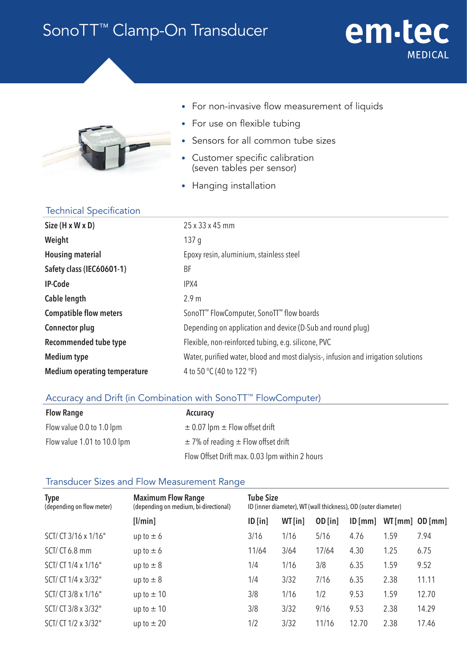# SonoTT<sup>™</sup> Clamp-On Transducer



### • For non-invasive flow measurement of liquids

em-tec

**MEDICAL** 

- For use on flexible tubing
- Sensors for all common tube sizes
- Customer specific calibration (seven tables per sensor)
- Hanging installation

### Technical Specification

| $Size(H \times W \times D)$         | 25 x 33 x 45 mm                                                                    |  |  |  |
|-------------------------------------|------------------------------------------------------------------------------------|--|--|--|
| Weight                              | 137 <sub>q</sub>                                                                   |  |  |  |
| <b>Housing material</b>             | Epoxy resin, aluminium, stainless steel                                            |  |  |  |
| Safety class (IEC60601-1)           | BF                                                                                 |  |  |  |
| <b>IP-Code</b>                      | IPX4                                                                               |  |  |  |
| Cable length                        | 2.9 <sub>m</sub>                                                                   |  |  |  |
| <b>Compatible flow meters</b>       | SonoTT <sup>™</sup> FlowComputer, SonoTT <sup>™</sup> flow boards                  |  |  |  |
| <b>Connector plug</b>               | Depending on application and device (D-Sub and round plug)                         |  |  |  |
| <b>Recommended tube type</b>        | Flexible, non-reinforced tubing, e.g. silicone, PVC                                |  |  |  |
| Medium type                         | Water, purified water, blood and most dialysis-, infusion and irrigation solutions |  |  |  |
| <b>Medium operating temperature</b> | 4 to 50 °C (40 to 122 °F)                                                          |  |  |  |
|                                     |                                                                                    |  |  |  |

# Accuracy and Drift (in Combination with SonoTT™ FlowComputer)

| <b>Flow Range</b>           | Accuracy                                       |
|-----------------------------|------------------------------------------------|
| Flow value 0.0 to 1.0 lpm   | $\pm$ 0.07 lpm $\pm$ Flow offset drift         |
| Flow value 1.01 to 10.0 lpm | $\pm$ 7% of reading $\pm$ Flow offset drift    |
|                             | Flow Offset Drift max. 0.03 lpm within 2 hours |

# Transducer Sizes and Flow Measurement Range

| <b>Type</b><br>(depending on flow meter) | <b>Maximum Flow Range</b><br>(depending on medium, bi-directional) | <b>Tube Size</b><br>ID (inner diameter), WT (wall thickness), OD (outer diameter) |        |           |         |                    |       |
|------------------------------------------|--------------------------------------------------------------------|-----------------------------------------------------------------------------------|--------|-----------|---------|--------------------|-------|
|                                          | [ /min]                                                            | $ID$ [in]                                                                         | WT[in] | $OD$ [in] | ID [mm] | $WT[mm]$ OD $[mm]$ |       |
| SCT/ CT 3/16 x 1/16"                     | up to $\pm$ 6                                                      | 3/16                                                                              | 1/16   | 5/16      | 4.76    | 1.59               | 7.94  |
| SCT/CT6.8 mm                             | up to $\pm$ 6                                                      | 11/64                                                                             | 3/64   | 17/64     | 4.30    | 1.25               | 6.75  |
| SCT/ CT 1/4 x 1/16"                      | up to $\pm$ 8                                                      | 1/4                                                                               | 1/16   | 3/8       | 6.35    | 1.59               | 9.52  |
| SCT/ CT 1/4 x 3/32"                      | up to $\pm$ 8                                                      | 1/4                                                                               | 3/32   | 7/16      | 6.35    | 2.38               | 11.11 |
| SCT/ CT 3/8 x 1/16"                      | up to $\pm$ 10                                                     | 3/8                                                                               | 1/16   | 1/2       | 9.53    | 1.59               | 12.70 |
| SCT/ CT 3/8 x 3/32"                      | up to $\pm$ 10                                                     | 3/8                                                                               | 3/32   | 9/16      | 9.53    | 2.38               | 14.29 |
| SCT/ CT 1/2 x 3/32"                      | up to $\pm 20$                                                     | 1/2                                                                               | 3/32   | 11/16     | 12.70   | 2.38               | 17.46 |